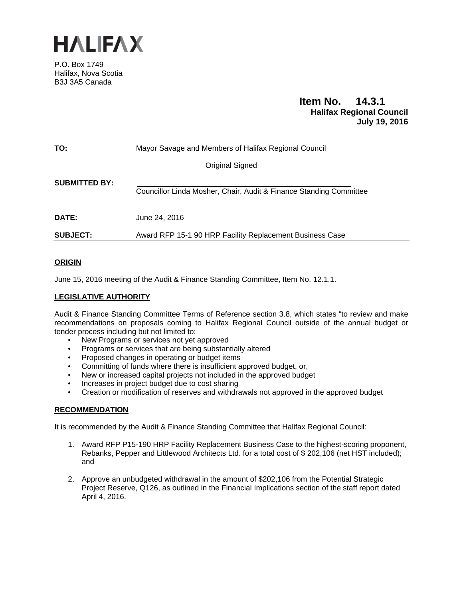

P.O. Box 1749 Halifax, Nova Scotia B3J 3A5 Canada

# **Item No. 14.3.1 Halifax Regional Council July 19, 2016**

| TO:                  | Mayor Savage and Members of Halifax Regional Council               |
|----------------------|--------------------------------------------------------------------|
|                      | Original Signed                                                    |
| <b>SUBMITTED BY:</b> | Councillor Linda Mosher, Chair, Audit & Finance Standing Committee |
| <b>DATE:</b>         | June 24, 2016                                                      |
| <b>SUBJECT:</b>      | Award RFP 15-1 90 HRP Facility Replacement Business Case           |

# **ORIGIN**

June 15, 2016 meeting of the Audit & Finance Standing Committee, Item No. 12.1.1.

# **LEGISLATIVE AUTHORITY**

Audit & Finance Standing Committee Terms of Reference section 3.8, which states "to review and make recommendations on proposals coming to Halifax Regional Council outside of the annual budget or tender process including but not limited to:

- New Programs or services not yet approved
- Programs or services that are being substantially altered
- Proposed changes in operating or budget items
- Committing of funds where there is insufficient approved budget, or,
- New or increased capital projects not included in the approved budget
- Increases in project budget due to cost sharing
- Creation or modification of reserves and withdrawals not approved in the approved budget

# **RECOMMENDATION**

It is recommended by the Audit & Finance Standing Committee that Halifax Regional Council:

- 1. Award RFP P15-190 HRP Facility Replacement Business Case to the highest-scoring proponent, Rebanks, Pepper and Littlewood Architects Ltd. for a total cost of \$ 202,106 (net HST included); and
- 2. Approve an unbudgeted withdrawal in the amount of \$202,106 from the Potential Strategic Project Reserve, Q126, as outlined in the Financial Implications section of the staff report dated April 4, 2016.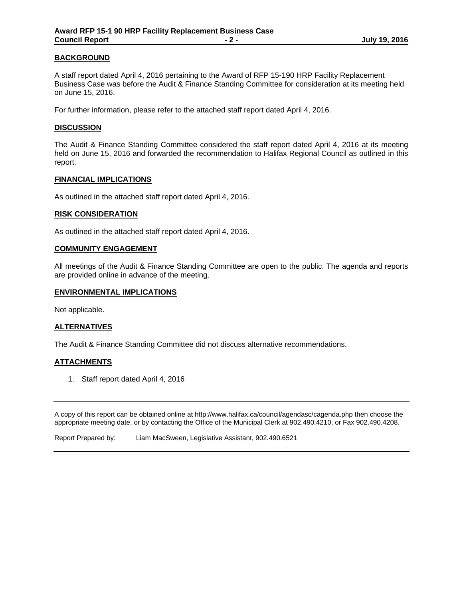# **BACKGROUND**

A staff report dated April 4, 2016 pertaining to the Award of RFP 15-190 HRP Facility Replacement Business Case was before the Audit & Finance Standing Committee for consideration at its meeting held on June 15, 2016.

For further information, please refer to the attached staff report dated April 4, 2016.

### **DISCUSSION**

The Audit & Finance Standing Committee considered the staff report dated April 4, 2016 at its meeting held on June 15, 2016 and forwarded the recommendation to Halifax Regional Council as outlined in this report.

#### **FINANCIAL IMPLICATIONS**

As outlined in the attached staff report dated April 4, 2016.

#### **RISK CONSIDERATION**

As outlined in the attached staff report dated April 4, 2016.

#### **COMMUNITY ENGAGEMENT**

All meetings of the Audit & Finance Standing Committee are open to the public. The agenda and reports are provided online in advance of the meeting.

#### **ENVIRONMENTAL IMPLICATIONS**

Not applicable.

## **ALTERNATIVES**

The Audit & Finance Standing Committee did not discuss alternative recommendations.

## **ATTACHMENTS**

1. Staff report dated April 4, 2016

A copy of this report can be obtained online at http://www.halifax.ca/council/agendasc/cagenda.php then choose the appropriate meeting date, or by contacting the Office of the Municipal Clerk at 902.490.4210, or Fax 902.490.4208.

Report Prepared by: Liam MacSween, Legislative Assistant, 902.490.6521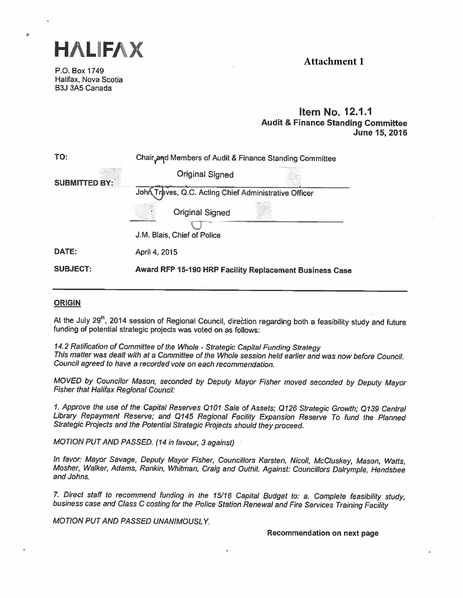

P.O. Box 1749 Halifax, Nova Scotia B3J 3A5 Canada

۵

# **Attachment 1**

# Item No. 12.1.1 Audit & Finance Standing Committee June 15,2016

| TO:                  | Chair and Members of Audit & Finance Standing Committee |  |  |  |  |
|----------------------|---------------------------------------------------------|--|--|--|--|
| <b>SUBMITTED BY:</b> | <b>Original Signed</b>                                  |  |  |  |  |
|                      | John Traves, Q.C. Acting Chief Administrative Officer   |  |  |  |  |
|                      | <b>Original Signed</b>                                  |  |  |  |  |
|                      | J.M. Blais, Chief of Police                             |  |  |  |  |
| DATE:                | April 4, 2015                                           |  |  |  |  |
| <b>SUBJECT:</b>      | Award RFP 15-190 HRP Facility Replacement Business Case |  |  |  |  |

# **ORIGIN**

At the July 29<sup>th</sup>, 2014 session of Regional Council, direction regarding both a feasibility study and future funding of potential strategic projects was voted on as follows:

14.2 Ratification of Committee of the Whole - Strategic Capital Funding Strategy<br>This matter was dealt with at a Committee of the Whole session held earlier and was now before Council. Council agreed to have <sup>a</sup> recorded vote on each recommendation.

MOVED by Councilor Mason, seconded by Deputy Mayor Fisher moved seconded by Deputy Mayor<br>Fisher that Halifax Regional Council:

1. Approve the use of the Capital Reserves <sup>0101</sup> Sale of Assets; <sup>Q</sup> <sup>126</sup> Strategic Growth; <sup>0139</sup> Central Library Repayment Reserve; and <sup>0145</sup> Regional Facility Expansion Reserve To fund the Planned Strategic Projects and the Potential Strategic Projects should they proceed.

MOTION PUT AND PASSED. (14 in favour, <sup>3</sup> against)

In favor: Mayor Savage, Deputy Mayor Fisher, Councillors Karsten, Nicoll, McCluskey, Mason, Watts, Mosher, Walker, Adams, Rankin, Whitman, Craig and Outhit. Against: Councillors Dalrymple, Hendsbee and Johns.

7. Direct staff to recommend funding in the 15/16 Capital Budget to: a. Complete feasibility study,<br>business case and Class C costing for the Police Station Renewal and Fire Services Training Facility

MOTION PUT AND PASSED UNANIMOUSLY

Recommendation on next page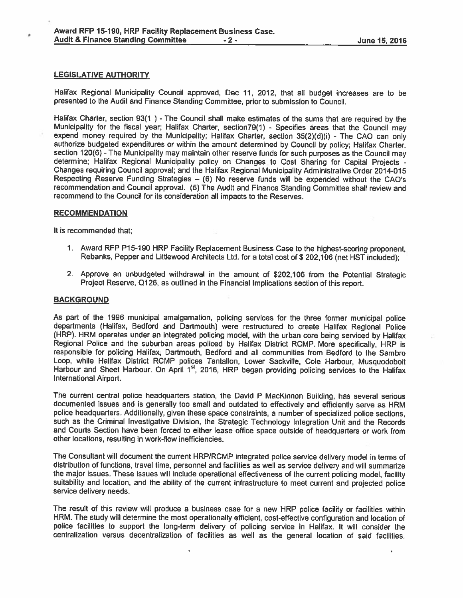#### LEGISLATIVE AUTHORITY

Halifax Regional Municipality Council approved, Dec 11, 2012, that all budget increases are to be presented to the Audit and Finance Standing Committee, prior to submission to Council.

Halifax Charter, section 93(1) - The Council shall make estimates of the sums that are required by the Municipality for the fiscal year; Halifax Charter, section79(1) - Specifies areas that the Council may expen<sup>d</sup> money required by the Municipality; Halifax Charter, section 35(2)(d)(i) - The CAD can only authorize budgeted expenditures or within the amount determined by Council by policy; Halifax Charter, section 120(6) - The Municipality may maintain other reserve funds for such purposes as the Council may determine; Halifax Regional Municipality policy on Changes to Cost Sharing for Capital Projects - Changes requiring Council approval; and the Halifax Regional Municipality Administrative Order 2014-015 Respecting Reserve Funding Strategies — (6) No reserve funds will be expended without the CAO's recommendation and Council approval. (5) The Audit and Finance Standing Committee shall review and recommend to the Council for its consideration all impacts to the Reserves.

#### **RECOMMENDATION**

It is recommended that;

- 1. Award RFP P15-190 HRP Facility Replacement Business Case to the highest-scoring proponent, Rebanks, Pepper and Littlewood Architects Ltd. for <sup>a</sup> total cost of \$202,106 (net HST included);
- 2. Approve an unbudgeted withdrawal in the amount of \$202,106 from the Potential Strategic Project Reserve, Q126, as outlined in the Financial Implications section of this report.

#### **BACKGROUND**

As par<sup>t</sup> of the <sup>1996</sup> municipal amalgamation, policing services for the three former municipal police departments (Halifax, Bedford and Dartmouth) were restructured to create Halifax Regional Police (HRP). HRM operates under an integrated policing model, with the urban core being serviced by Halifax Regional Police and the suburban areas policed by Halifax District RCMP. More specifically, HRP is responsible for policing Halifax; Dartmouth, Bedford and all communities from Bedford to the Sambro Loop, while Halifax District RCMP polices Tantallon, Lower Sackville, Cole Harbour, Musquodoboit Harbour and Sheet Harbour. On April 1<sup>st</sup>, 2016, HRP began providing policing services to the Halifax International Airport.

The current central police headquarters station, the David <sup>P</sup> Mackinnon Building, has several serious documented issues and is generally too small and outdated to effectively and efficiently serve as HRM police headquarters. Additionally, <sup>g</sup>iven these space constraints, <sup>a</sup> number of specialized police sections, such as the Criminal Investigative Division, the Strategic Technology Integration Unit and the Records and Courts Section have been forced to either lease office space outside of headquarters or work from other locations, resulting in work-flow inefficiencies.

The Consultant will document the current HRP/RCMP integrated police service delivery model in terms of distribution of functions, travel time, personne<sup>l</sup> and facilities as well as service delivery and will summarize the major issues. These issues will include operational effectiveness of the current policing model, facility suitability and location, and the ability of the current infrastructure to meet current and projected police service delivery needs.

The result of this review will produce <sup>a</sup> business case for <sup>a</sup> new HRP police facility or facilities within HRM. The study will determine the most operationally efficient, cost-effective configuration and location of police facilities to suppor<sup>t</sup> the long-term delivery of policing service in Halifax. It will consider the centralization versus decentralization of facilities as well as the genera<sup>l</sup> location of said facilities.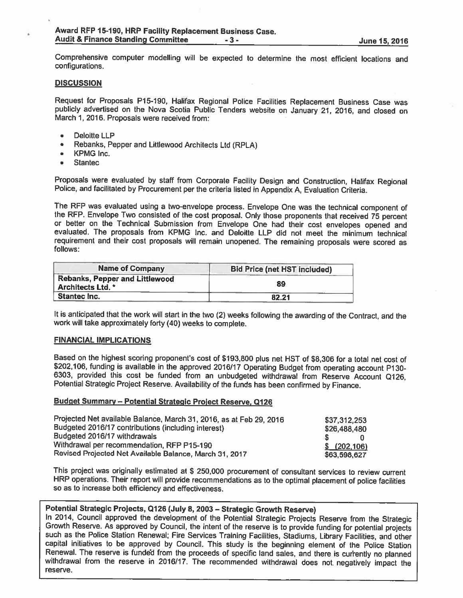Comprehensive computer modelling will be expected to determine the most efficient locations and configurations.

#### **DISCUSSION**

Request for Proposals P15-190, Halifax Regional Police Facilities Replacement Business Case was publicly advertised on the Nova Scotia Public Tenders website on January 21, 2016, and closed on March 1, 2016. Proposals were

- •Deloitte LLP
- •Rebanks, Pepper and Littlewood Architects Ltd (RPLA)
- •KPMG Inc.
- •**Stantec**

Proposals were evaluated by staff from Corporate Facility Design and Construction, Halifax Regional Police, and facilitated by Procurement per the criteria listed in Appendix A, Evaluation Criteria.

The RFP was evaluated using a two-envelope process. Envelope One was the technical component of the RFP. Envelope Two consisted of the cost proposal. Only those proponents that received 75 percent or better on the Technica evaluated. The proposals from KPMG Inc. and Deloitte LLP did not meet the minimum technical requirement and their cost proposals will remain unopened. The remaining proposals were scored as follows:

| <b>Name of Company</b>                                     | <b>Bid Price (net HST included)</b> |  |  |
|------------------------------------------------------------|-------------------------------------|--|--|
| Rebanks, Pepper and Littlewood<br><b>Architects Ltd. *</b> | 89                                  |  |  |
| Stantec Inc.                                               | 82.21                               |  |  |

It is anticipated that the work will start in the two (2) weeks following the awarding of the Contract, and the<br>work will take approximately forty (40) weeks to complete.

#### FINANCIAL IMPLICATIONS

Based on the highest scoring proponent's cost of \$193,800 <sup>p</sup>lus net HST of \$8,306 for <sup>a</sup> total net cost of \$202,106, funding is available in the approved 2016/17 Operating Budget from operating account P130-6303, provided this cost be funded from an unbudgeted withdrawal from Reserve Account Q126, Potential Strategic Project Re

# Budget Summary - Potential Strategic Project Reserve, Q126

| Projected Net available Balance, March 31, 2016, as at Feb 29, 2016 | \$37,312,253    |
|---------------------------------------------------------------------|-----------------|
| Budgeted 2016/17 contributions (including interest)                 | \$26,488,480    |
| Budgeted 2016/17 withdrawals                                        |                 |
| Withdrawal per recommendation, RFP P15-190                          | $$^{(202,106)}$ |
| Revised Projected Net Available Balance, March 31, 2017             | \$63,598,627    |

This project was originally estimated at \$ 250,000 procurement of consultant services to review current HRP operations. Their report will provide recommendations as to the optimal <sup>p</sup>lacement of police facilities so as to increase both efficiency and effectiveness.

Potential Strategic Projects, Q126 (July 8, 2003 – Strategic Growth Reserve)<br>In 2014, Council approved the development of the Potential Strategic Projects Reserve from the Strategic Growth Reserve. As approved by Council, the intent of the reserve is to provide funding for potential projects<br>such as the Police Station Renewal; Fire Services Training Facilities, Stadiums, Library Facilities, and other<br> Renewal. The reserve is funded from the proceeds of specific land sales, and there is currently no planned<br>withdrawal from the reserve in 2016/17. The recommended withdrawal does not negatively impact the reserve.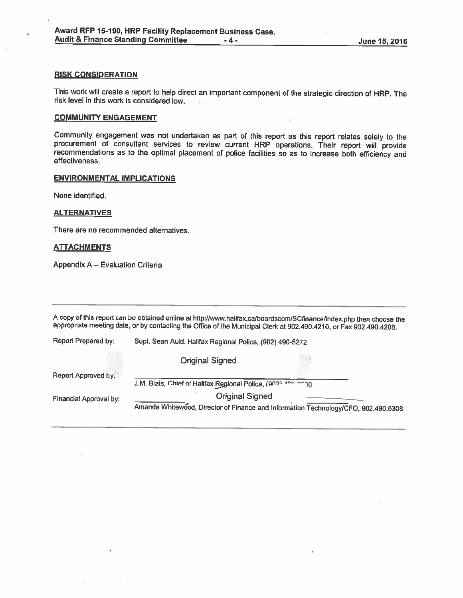#### RISK CONSIDERATION

This work will create <sup>a</sup> report to help direct an important component of the strategic direction of HRP. The risk level in this work is considered low.  $\mathcal{L}_{\text{max}}$ 

#### COMMUNITY ENGAGEMENT

Community engagement was not undertaken as part of this report as this report relates solely to the procurement of consultant services to review current HRP operations. Their report will provide recommendations as to the optimal placement of police facilities so as to increase both efficiency and effectiveness.

## ENVIRONMENTAL IMPLICATIONS

None identified.

#### **ALTERNATIVES**

There are no recommended alternatives.

#### **ATTACHMENTS**

Appendix A — Evaluation Criteria

A copy of this report can be obtained online at http://www.halifax.ca/boardscom/SCfinance/index.php then choose the appropriate meeting date, or by contacting the Office of the Municipal Clerk at 902.490.4210, or Fax 902.4

| Report Prepared by:    | Supt. Sean Auld. Halifax Regional Police, (902) 490-5272                                                     |  |  |
|------------------------|--------------------------------------------------------------------------------------------------------------|--|--|
|                        | <b>Original Signed</b>                                                                                       |  |  |
| Report Approved by:    | J.M. Blais, Chief of Halifax Regional Police, (902) 400 0000                                                 |  |  |
| Financial Approval by: | <b>Original Signed</b><br>Amanda Whitewood, Director of Finance and Information Technology/CFO, 902.490.6308 |  |  |